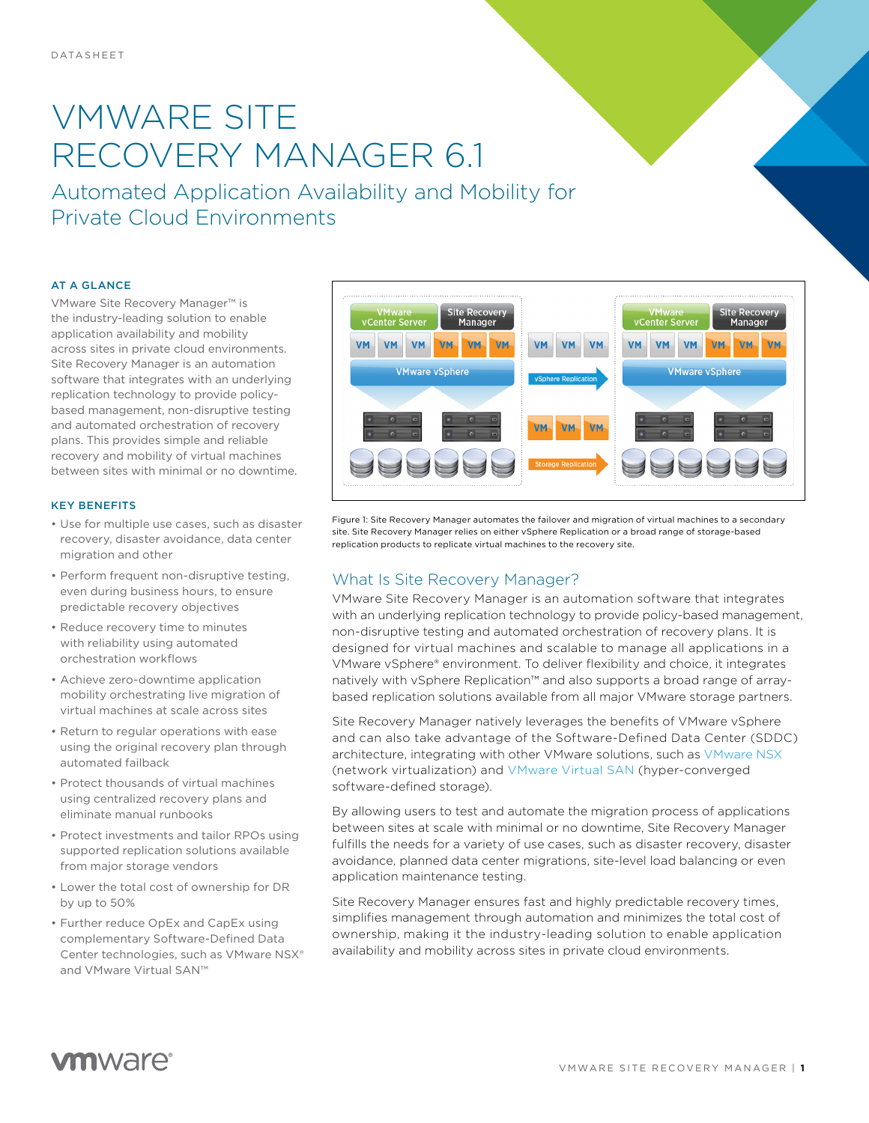# VMWARE SITE RECOVERY MANAGER 6.1

Automated Application Availability and Mobility for Private Cloud Environments

#### AT A GLANCE

VMware Site Recovery Manager™ is the industry-leading solution to enable application availability and mobility across sites in private cloud environments. Site Recovery Manager is an automation software that integrates with an underlying replication technology to provide policybased management, non-disruptive testing and automated orchestration of recovery plans. This provides simple and reliable recovery and mobility of virtual machines between sites with minimal or no downtime.

#### KEY BENEFITS

- Use for multiple use cases, such as disaster recovery, disaster avoidance, data center migration and other
- Perform frequent non-disruptive testing, even during business hours, to ensure predictable recovery objectives
- Reduce recovery time to minutes with reliability using automated orchestration workflows
- Achieve zero-downtime application mobility orchestrating live migration of virtual machines at scale across sites
- Return to regular operations with ease using the original recovery plan through automated failback
- Protect thousands of virtual machines using centralized recovery plans and eliminate manual runbooks
- Protect investments and tailor RPOs using supported replication solutions available from major storage vendors
- Lower the total cost of ownership for DR by up to 50%
- Further reduce OpEx and CapEx using complementary Software-Defined Data Center technologies, such as VMware NSX® and VMware Virtual SAN™



Figure 1: Site Recovery Manager automates the failover and migration of virtual machines to a secondary site. Site Recovery Manager relies on either vSphere Replication or a broad range of storage-based replication products to replicate virtual machines to the recovery site.

### What Is Site Recovery Manager?

VMware Site Recovery Manager is an automation software that integrates with an underlying replication technology to provide policy-based management, non-disruptive testing and automated orchestration of recovery plans. It is designed for virtual machines and scalable to manage all applications in a VMware vSphere® environment. To deliver flexibility and choice, it integrates natively with vSphere Replication™ and also supports a broad range of arraybased replication solutions available from all major VMware storage partners.

Site Recovery Manager natively leverages the benefits of VMware vSphere and can also take advantage of the Software-Defined Data Center (SDDC) architecture, integrating with other VMware solutions, such as [VMware NSX](http://www.vmware.com/products/nsx/) (network virtualization) and [VMware Virtual SAN](http://www.vmware.com/products/virtual-san/) (hyper-converged software-defined storage).

By allowing users to test and automate the migration process of applications between sites at scale with minimal or no downtime, Site Recovery Manager fulfills the needs for a variety of use cases, such as disaster recovery, disaster avoidance, planned data center migrations, site-level load balancing or even application maintenance testing.

Site Recovery Manager ensures fast and highly predictable recovery times, simplifies management through automation and minimizes the total cost of ownership, making it the industry-leading solution to enable application availability and mobility across sites in private cloud environments.

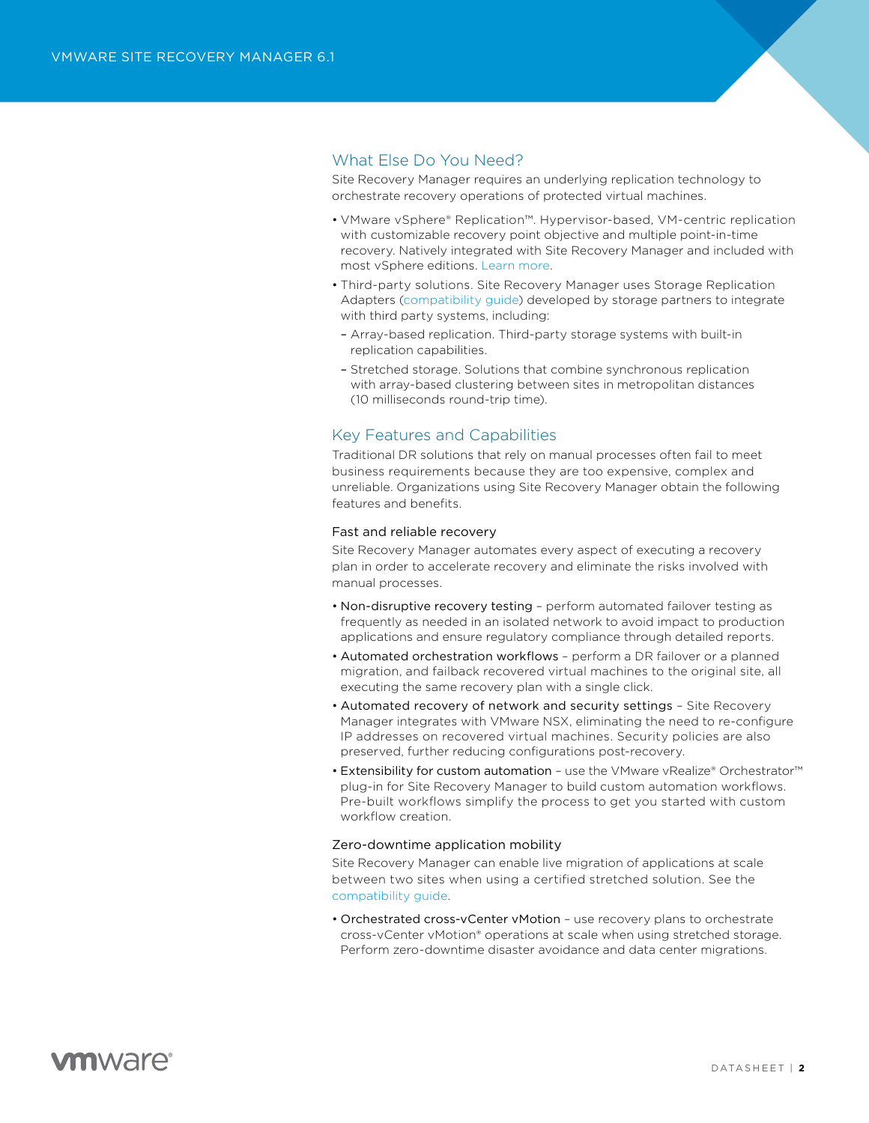## What Else Do You Need?

Site Recovery Manager requires an underlying replication technology to orchestrate recovery operations of protected virtual machines.

- VMware vSphere® Replication™. Hypervisor-based, VM-centric replication with customizable recovery point objective and multiple point-in-time recovery. Natively integrated with Site Recovery Manager and included with most vSphere editions. [Learn more.](http://www.vmware.com/products/vsphere/features/replication.html)
- Third-party solutions. Site Recovery Manager uses Storage Replication Adapters [\(compatibility guide](http://www.vmware.com/resources/compatibility/search.php?deviceCategory=sra)) developed by storage partners to integrate with third party systems, including:
- Array-based replication. Third-party storage systems with built-in replication capabilities.
- Stretched storage. Solutions that combine synchronous replication with array-based clustering between sites in metropolitan distances (10 milliseconds round-trip time).

# Key Features and Capabilities

Traditional DR solutions that rely on manual processes often fail to meet business requirements because they are too expensive, complex and unreliable. Organizations using Site Recovery Manager obtain the following features and benefits.

#### Fast and reliable recovery

Site Recovery Manager automates every aspect of executing a recovery plan in order to accelerate recovery and eliminate the risks involved with manual processes.

- Non-disruptive recovery testing perform automated failover testing as frequently as needed in an isolated network to avoid impact to production applications and ensure regulatory compliance through detailed reports.
- Automated orchestration workflows perform a DR failover or a planned migration, and failback recovered virtual machines to the original site, all executing the same recovery plan with a single click.
- Automated recovery of network and security settings Site Recovery Manager integrates with VMware NSX, eliminating the need to re-configure IP addresses on recovered virtual machines. Security policies are also preserved, further reducing configurations post-recovery.
- Extensibility for custom automation use the VMware vRealize® Orchestrator™ plug-in for Site Recovery Manager to build custom automation workflows. Pre-built workflows simplify the process to get you started with custom workflow creation.

#### Zero-downtime application mobility

Site Recovery Manager can enable live migration of applications at scale between two sites when using a certified stretched solution. See the [compatibility guide.](http://www.vmware.com/resources/compatibility/search.php?deviceCategory=sra)

• Orchestrated cross-vCenter vMotion – use recovery plans to orchestrate cross-vCenter vMotion® operations at scale when using stretched storage. Perform zero-downtime disaster avoidance and data center migrations.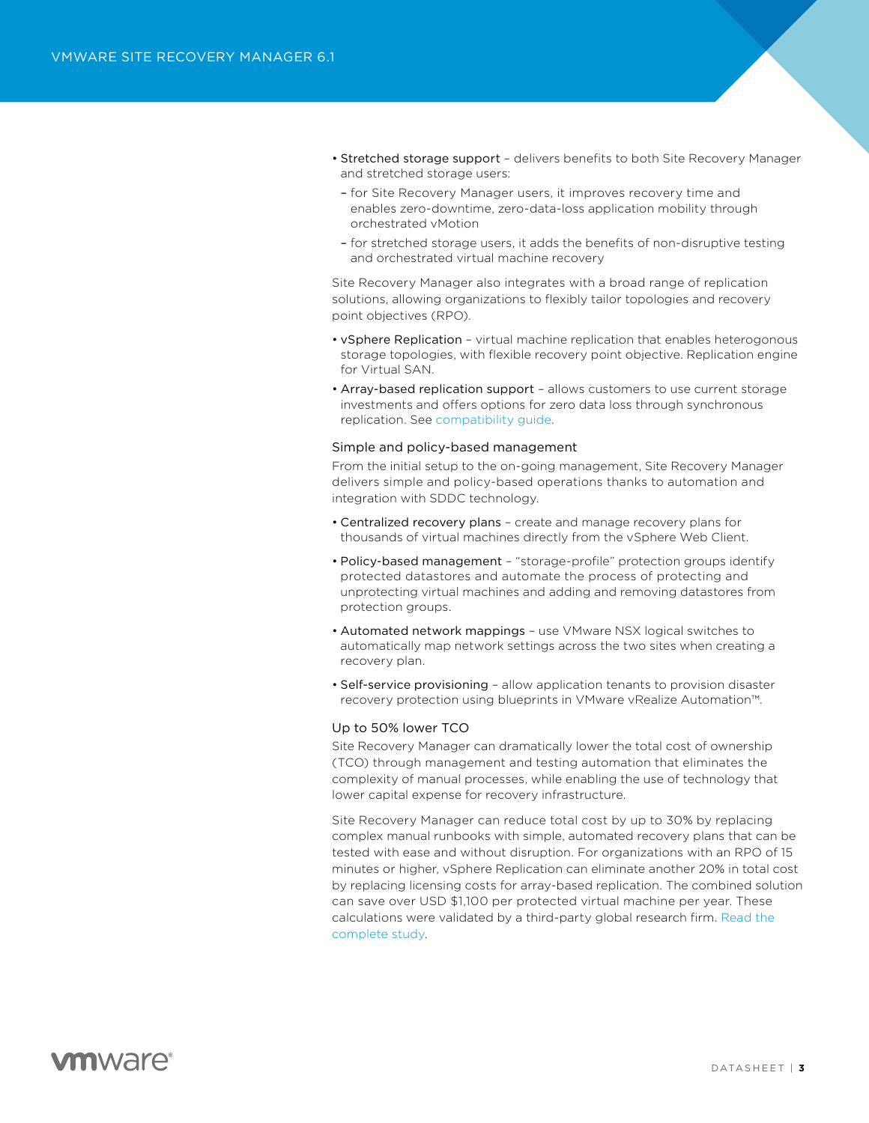- Stretched storage support delivers benefits to both Site Recovery Manager and stretched storage users:
- for Site Recovery Manager users, it improves recovery time and enables zero-downtime, zero-data-loss application mobility through orchestrated vMotion
- for stretched storage users, it adds the benefits of non-disruptive testing and orchestrated virtual machine recovery

Site Recovery Manager also integrates with a broad range of replication solutions, allowing organizations to flexibly tailor topologies and recovery point objectives (RPO).

- vSphere Replication virtual machine replication that enables heterogonous storage topologies, with flexible recovery point objective. Replication engine for Virtual SAN.
- Array-based replication support allows customers to use current storage investments and offers options for zero data loss through synchronous replication. See [compatibility guide.](http://www.vmware.com/resources/compatibility/search.php?deviceCategory=sra)

#### Simple and policy-based management

From the initial setup to the on-going management, Site Recovery Manager delivers simple and policy-based operations thanks to automation and integration with SDDC technology.

- Centralized recovery plans create and manage recovery plans for thousands of virtual machines directly from the vSphere Web Client.
- Policy-based management "storage-profile" protection groups identify protected datastores and automate the process of protecting and unprotecting virtual machines and adding and removing datastores from protection groups.
- Automated network mappings use VMware NSX logical switches to automatically map network settings across the two sites when creating a recovery plan.
- Self-service provisioning allow application tenants to provision disaster recovery protection using blueprints in VMware vRealize Automation™.

#### Up to 50% lower TCO

Site Recovery Manager can dramatically lower the total cost of ownership (TCO) through management and testing automation that eliminates the complexity of manual processes, while enabling the use of technology that lower capital expense for recovery infrastructure.

Site Recovery Manager can reduce total cost by up to 30% by replacing complex manual runbooks with simple, automated recovery plans that can be tested with ease and without disruption. For organizations with an RPO of 15 minutes or higher, vSphere Replication can eliminate another 20% in total cost by replacing licensing costs for array-based replication. The combined solution can save over USD \$1,100 per protected virtual machine per year. These calculations were validated by a third-party global research firm. [Read the](http://vmware.com/go/forrestersrm)  [complete study](http://vmware.com/go/forrestersrm).